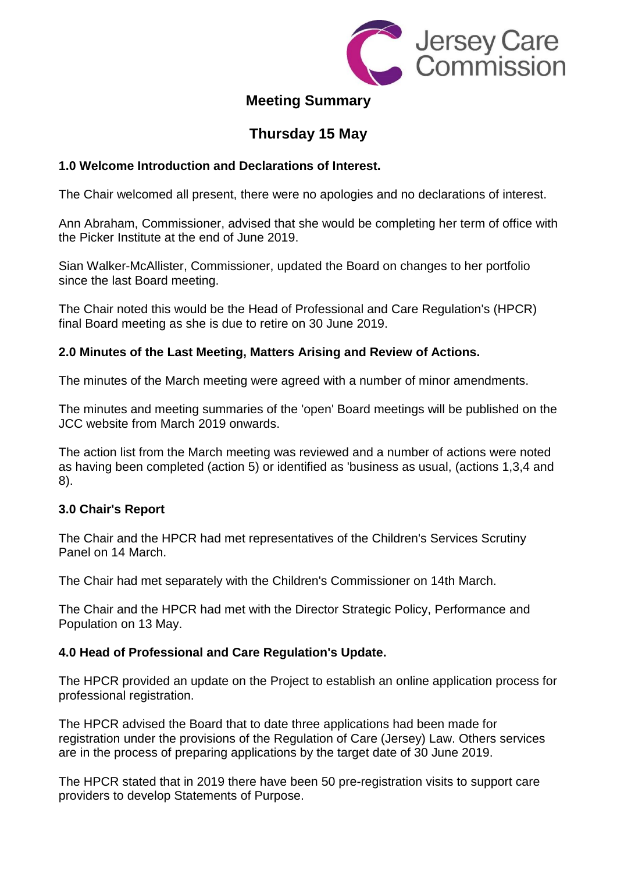

## **Meeting Summary**

# **Thursday 15 May**

## **1.0 Welcome Introduction and Declarations of Interest.**

The Chair welcomed all present, there were no apologies and no declarations of interest.

Ann Abraham, Commissioner, advised that she would be completing her term of office with the Picker Institute at the end of June 2019.

Sian Walker-McAllister, Commissioner, updated the Board on changes to her portfolio since the last Board meeting.

The Chair noted this would be the Head of Professional and Care Regulation's (HPCR) final Board meeting as she is due to retire on 30 June 2019.

## **2.0 Minutes of the Last Meeting, Matters Arising and Review of Actions.**

The minutes of the March meeting were agreed with a number of minor amendments.

The minutes and meeting summaries of the 'open' Board meetings will be published on the JCC website from March 2019 onwards.

The action list from the March meeting was reviewed and a number of actions were noted as having been completed (action 5) or identified as 'business as usual, (actions 1,3,4 and 8).

## **3.0 Chair's Report**

The Chair and the HPCR had met representatives of the Children's Services Scrutiny Panel on 14 March.

The Chair had met separately with the Children's Commissioner on 14th March.

The Chair and the HPCR had met with the Director Strategic Policy, Performance and Population on 13 May.

## **4.0 Head of Professional and Care Regulation's Update.**

The HPCR provided an update on the Project to establish an online application process for professional registration.

The HPCR advised the Board that to date three applications had been made for registration under the provisions of the Regulation of Care (Jersey) Law. Others services are in the process of preparing applications by the target date of 30 June 2019.

The HPCR stated that in 2019 there have been 50 pre-registration visits to support care providers to develop Statements of Purpose.